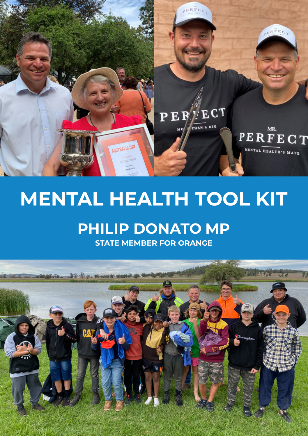

# **MENTAL HEALTH TOOL KIT**

## **PHILIP DONATO MP**

**STATE MEMBER FOR ORANGE**

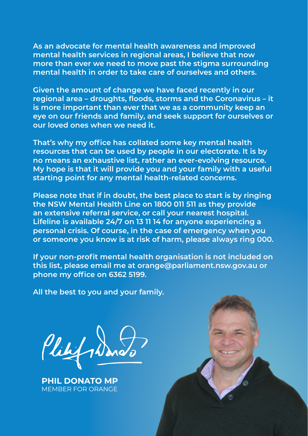**As an advocate for mental health awareness and improved mental health services in regional areas, I believe that now more than ever we need to move past the stigma surrounding mental health in order to take care of ourselves and others.** 

**Given the amount of change we have faced recently in our regional area – droughts, floods, storms and the Coronavirus – it is more important than ever that we as a community keep an eye on our friends and family, and seek support for ourselves or our loved ones when we need it.** 

**That's why my office has collated some key mental health resources that can be used by people in our electorate. It is by no means an exhaustive list, rather an ever-evolving resource. My hope is that it will provide you and your family with a useful starting point for any mental health-related concerns.** 

**Please note that if in doubt, the best place to start is by ringing the NSW Mental Health Line on 1800 011 511 as they provide an extensive referral service, or call your nearest hospital. Lifeline is available 24/7 on 13 11 14 for anyone experiencing a personal crisis. Of course, in the case of emergency when you or someone you know is at risk of harm, please always ring 000.**

**If your non-profit mental health organisation is not included on this list, please email me at [orange@parliament.nsw.gov.au](mailto:orange@parliament.nsw.gov.au) or phone my office on 6362 5199.**

**All the best to you and your family.**

Plilifs

**PHIL DONATO MP** MEMBER FOR ORANGE

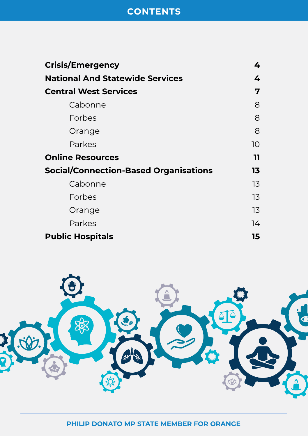## **CONTENTS**

| <b>Crisis/Emergency</b>                      | 4  |
|----------------------------------------------|----|
| <b>National And Statewide Services</b>       | 4  |
| <b>Central West Services</b>                 | 7  |
| Cabonne                                      | 8  |
| Forbes                                       | 8  |
| Orange                                       | 8  |
| Parkes                                       | 10 |
| <b>Online Resources</b>                      | 11 |
| <b>Social/Connection-Based Organisations</b> | 13 |
| Cabonne                                      | 13 |
| <b>Forbes</b>                                | 13 |
| Orange                                       | 13 |
| Parkes                                       | 14 |
| <b>Public Hospitals</b>                      | 15 |

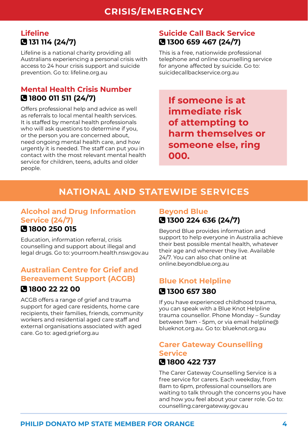### <span id="page-3-0"></span>**Lifeline 131 114 (24/7)**

Lifeline is a national charity providing all Australians experiencing a personal crisis with access to 24 hour crisis support and suicide prevention. Go to: [lifeline.org.au](http://lifeline.org.au)

### **Mental Health Crisis Number 1800 011 511 (24/7)**

Offers professional help and advice as well as referrals to local mental health services. It is staffed by mental health professionals who will ask questions to determine if you, or the person you are concerned about, need ongoing mental health care, and how urgently it is needed. The staff can put you in contact with the most relevant mental health service for children, teens, adults and older people.

## **Suicide Call Back Service 1300 659 467 (24/7)**

This is a free, nationwide professional telephone and online counselling service for anyone affected by suicide. Go to: [suicidecallbackservice.org.au](http://suicidecallbackservice.org.au)

**If someone is at immediate risk of attempting to harm themselves or someone else, ring 000.** 

## **NATIONAL AND STATEWIDE SERVICES**

#### **Alcohol and Drug Information Service (24/7) 1800 250 015**

Education, information referral, crisis counselling and support about illegal and legal drugs. Go to: [yourroom.health.nsw.gov.au](https://yourroom.health.nsw.gov.au/Pages/home.aspx)

#### **Australian Centre for Grief and Bereavement Support (ACGB)**

#### **1800 22 22 00**

ACGB offers a range of grief and trauma support for aged care residents, home care recipients, their families, friends, community workers and residential aged care staff and external organisations associated with aged care. Go to: [aged.grief.org.au](https://aged.grief.org.au/)

### **Beyond Blue 1300 224 636 (24/7)**

Beyond Blue provides information and support to help everyone in Australia achieve their best possible mental health, whatever their age and wherever they live. Available 24/7. You can also chat online at [online.beyondblue.org.au](https://online.beyondblue.org.au/#/chat/start)

## **Blue Knot Helpline 1300 657 380**

If you have experienced childhood trauma, you can speak with a Blue Knot Helpline trauma counsellor. Phone Monday – Sunday between 9am - 5pm, or via email [helpline@](mailto:helpline@blueknot.org.au) [blueknot.org.au](mailto:helpline@blueknot.org.au). Go to: [blueknot.org.au](http://blueknot.org.au)

## **Carer Gateway Counselling Service**

## **1800 422 737**

The Carer Gateway Counselling Service is a free service for carers. Each weekday, from 8am to 6pm, professional counsellors are waiting to talk through the concerns you have and how you feel about your carer role. Go to: [counselling.carergateway.gov.au](http://counselling.carergateway.gov.au)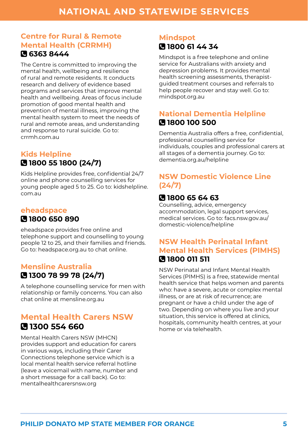#### **Centre for Rural & Remote Mental Health (CRRMH) 6363 8444**

The Centre is committed to improving the mental health, wellbeing and resilience of rural and remote residents. It conducts research and delivery of evidence based programs and services that improve mental health and wellbeing. Areas of focus include promotion of good mental health and prevention of mental illness, improving the mental health system to meet the needs of rural and remote areas, and understanding and response to rural suicide. Go to: [crrmh.com.au](https://www.crrmh.com.au/) 

### **Kids Helpline 1800 55 1800 (24/7)**

Kids Helpline provides free, confidential 24/7 online and phone counselling services for young people aged 5 to 25. Go to: [kidshelpline.](http://kidshelpline.com.au) [com.au](http://kidshelpline.com.au)

## **eheadspace 1800 650 890**

eheadspace provides free online and telephone support and counselling to young people 12 to 25, and their families and friends. Go to: [headspace.org.au](http://headspace.org.au) to chat online.

## **Mensline Australia 1300 78 99 78 (24/7)**

A telephone counselling service for men with relationship or family concerns. You can also chat online at [mensline.org.au](http://mensline.org.au)

#### **Mental Health Carers NSW 1300 554 660**

Mental Health Carers NSW (MHCN) provides support and education for carers in various ways, including their Carer Connections telephone service which is a local mental health service referral hotline (leave a voicemail with name, number and a short message for a call back). Go to: [mentalhealthcarersnsw.org](http://mentalhealthcarersnsw.org)

## **Mindspot 1800 61 44 34**

Mindspot is a free telephone and online service for Australians with anxiety and depression problems. It provides mental health screening assessments, therapistguided treatment courses and referrals to help people recover and stay well. Go to: [mindspot.org.au](http://mindspot.org.au)

## **National Dementia Helpline 1800 100 500**

Dementia Australia offers a free, confidential, professional counselling service for individuals, couples and professional carers at all stages of a dementia journey. Go to: [dementia.org.au/helpline](http://dementia.org.au/helpline)

## **NSW Domestic Violence Line (24/7)**

## **1800 65 64 63**

Counselling, advice, emergency accommodation, legal support services, medical services. Go to: [facs.nsw.gov.au/](http://facs.nsw.gov.au/domestic-violence/helpline) [domestic-violence/helpline](http://facs.nsw.gov.au/domestic-violence/helpline)

### **NSW Health Perinatal Infant Mental Health Services (PIMHS) 1800 011 511**

NSW Perinatal and Infant Mental Health Services (PIMHS) is a free, statewide mental health service that helps women and parents who: have a severe, acute or complex mental illness, or are at risk of recurrence; are pregnant or have a child under the age of two. Depending on where you live and your situation, this service is offered at clinics, hospitals, community health centres, at your home or via telehealth.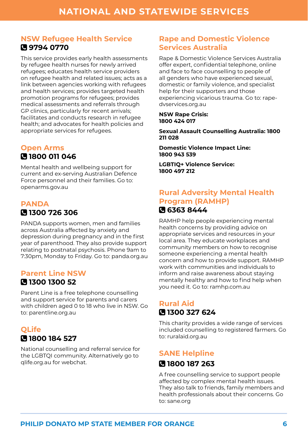#### **NSW Refugee Health Service 9794 0770**

This service provides early health assessments by refugee health nurses for newly arrived refugees; educates health service providers on refugee health and related issues; acts as a link between agencies working with refugees and health services; provides targeted health promotion programs for refugees; provides medical assessments and referrals through GP clinics, particularly for recent arrivals; facilitates and conducts research in refugee health; and advocates for health policies and appropriate services for refugees.

#### **Open Arms 1800 011 046**

Mental health and wellbeing support for current and ex-serving Australian Defence Force personnel and their families. Go to: [openarms.gov.au](http://openarms.gov.au)

## **PANDA 1300 726 306**

PANDA supports women, men and families across Australia affected by anxiety and depression during pregnancy and in the first year of parenthood. They also provide support relating to postnatal psychosis. Phone 9am to 7:30pm, Monday to Friday. Go to: [panda.org.au](http://panda.org.au)

## **Parent Line NSW**

#### **1300 1300 52**

Parent Line is a free telephone counselling and support service for parents and carers with children aged 0 to 18 who live in NSW. Go to: [parentline.org.au](http://parentline.org.au)

## **QLife 1800 184 527**

National counselling and referral service for the LGBTQI community. Alternatively go to [qlife.org.au](http://qlife.org.au) for webchat.

#### **Rape and Domestic Violence Services Australia**

Rape & Domestic Violence Services Australia offer expert, confidential telephone, online and face to face counselling to people of all genders who have experienced sexual, domestic or family violence, and specialist help for their supporters and those experiencing vicarious trauma. Go to: [rape](http://rape-dvservices.org.au)[dvservices.org.au](http://rape-dvservices.org.au)

#### **NSW Rape Crisis: 1800 424 017**

**Sexual Assault Counselling Australia: 1800 211 028** 

**Domestic Violence Impact Line: 1800 943 539** 

**LGBTIQ+ Violence Service: 1800 497 212**

### **Rural Adversity Mental Health Program (RAMHP) 6363 8444**

RAMHP help people experiencing mental health concerns by providing advice on appropriate services and resources in your local area. They educate workplaces and community members on how to recognise someone experiencing a mental health concern and how to provide support. RAMHP work with communities and individuals to inform and raise awareness about staying mentally healthy and how to find help when you need it. Go to: [ramhp.com.au](https://www.ramhp.com.au/)

## **Rural Aid 1300 327 624**

This charity provides a wide range of services included counselling to registered farmers. Go to: [ruralaid.org.au](http://ruralaid.org.au)

## **SANE Helpline**

#### **1800 187 263**

A free counselling service to support people affected by complex mental health issues. They also talk to friends, family members and health professionals about their concerns. Go to: [sane.org](http://sane.org)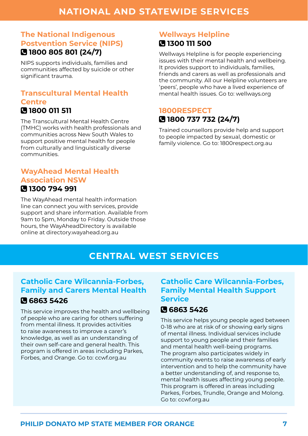### <span id="page-6-0"></span>**The National Indigenous Postvention Service (NIPS) 1800 805 801 (24/7)**

NIPS supports individuals, families and communities affected by suicide or other significant trauma.

#### **Transcultural Mental Health Centre 1800 011 511**

The Transcultural Mental Health Centre (TMHC) works with health professionals and communities across New South Wales to support positive mental health for people from culturally and linguistically diverse communities.

#### **WayAhead Mental Health Association NSW 1300 794 991**

The WayAhead mental health information line can connect you with services, provide support and share information. Available from 9am to 5pm, Monday to Friday. Outside those hours, the WayAheadDirectory is available online at [directory.wayahead.org.au](http://directory.wayahead.org.au)

#### **Wellways Helpline 1300 111 500**

Wellways Helpline is for people experiencing issues with their mental health and wellbeing. It provides support to individuals, families, friends and carers as well as professionals and the community. All our Helpline volunteers are 'peers', people who have a lived experience of mental health issues. Go to: [wellways.org](https://www.wellways.org/)

### **1800RESPECT 1800 737 732 (24/7)**

Trained counsellors provide help and support to people impacted by sexual, domestic or family violence. Go to: [1800respect.org.au](https://1800respect.org.au/)

## **CENTRAL WEST SERVICES**

## **Catholic Care Wilcannia-Forbes, Family and Carers Mental Health**

## **6863 5426**

This service improves the health and wellbeing of people who are caring for others suffering from mental illness. It provides activities to raise awareness to improve a carer's knowledge, as well as an understanding of their own self-care and general health. This program is offered in areas including Parkes, Forbes, and Orange. Go to: [ccwf.org.au](http://ccwf.org.au)

### **Catholic Care Wilcannia-Forbes, Family Mental Health Support Service**

## **6863 5426**

This service helps young people aged between 0-18 who are at risk of or showing early signs of mental illness. Individual services include support to young people and their families and mental health well-being programs. The program also participates widely in community events to raise awareness of early intervention and to help the community have a better understanding of, and response to, mental health issues affecting young people. This program is offered in areas including Parkes, Forbes, Trundle, Orange and Molong. Go to: [ccwf.org.au](http://ccwf.org.au)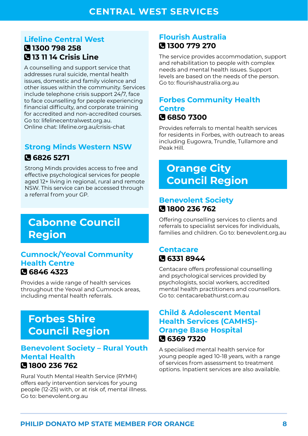#### <span id="page-7-0"></span>**Lifeline Central West 1300 798 258 13 11 14 Crisis Line**

A counselling and support service that addresses rural suicide, mental health issues, domestic and family violence and other issues within the community. Services include telephone crisis support 24/7, face to face counselling for people experiencing financial difficulty, and corporate training for accredited and non-accredited courses. Go to: [lifelinecentralwest.org.au.](http://lifelinecentralwest.org.au) Online chat: [lifeline.org.au/crisis-chat](http://lifeline.org.au/crisis-chat)

## **Strong Minds Western NSW 6826 5271**

Strong Minds provides access to free and effective psychological services for people aged 12+ living in regional, rural and remote NSW. This service can be accessed through a referral from your GP.

## **Cabonne Council Region**

#### **Cumnock/Yeoval Community Health Centre 6846 4323**

Provides a wide range of health services throughout the Yeoval and Cumnock areas, including mental health referrals.

## **Forbes Shire Council Region**

#### **Benevolent Society – Rural Youth Mental Health 1800 236 762**

Rural Youth Mental Health Service (RYMH) offers early intervention services for young people (12-25) with, or at risk of, mental illness. Go to: [benevolent.org.au](http://benevolent.org.au)

## **Flourish Australia 1300 779 270**

The service provides accommodation, support and rehabilitation to people with complex needs and mental health issues. Support levels are based on the needs of the person. Go to: [flourishaustralia.org.au](http://flourishaustralia.org.au)

#### **Forbes Community Health Centre 6850 7300**

Provides referrals to mental health services for residents in Forbes, with outreach to areas including Eugowra, Trundle, Tullamore and Peak Hill.

## **Orange City Council Region**

#### **Benevolent Society 1800 236 762**

Offering counselling services to clients and referrals to specialist services for individuals, families and children. Go to: [benevolent.org.au](https://www.benevolent.org.au/)

### **Centacare 6331 8944**

Centacare offers professional counselling and psychological services provided by psychologists, social workers, accredited mental health practitioners and counsellors. Go to: [centacarebathurst.com.au](http://centacarebathurst.com.au)

#### **Child & Adolescent Mental Health Services (CAMHS)- Orange Base Hospital 6369 7320**

A specialised mental health service for young people aged 10-18 years, with a range of services from assessment to treatment options. Inpatient services are also available.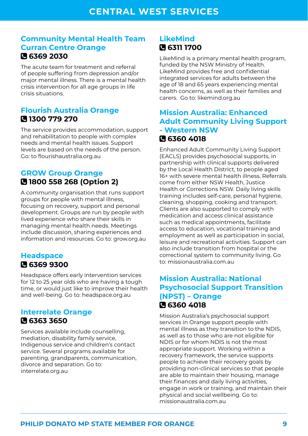#### **Community Mental Health Team Curran Centre Orange 6369 2030**

The acute team for treatment and referral of people suffering from depression and/or major mental illness. There is a mental health crisis intervention for all age groups in life crisis situations.

#### **Flourish Australia Orange 1300 779 270**

The service provides accommodation, support and rehabilitation to people with complex needs and mental health issues. Support levels are based on the needs of the person. Go: to [flourishaustralia.org.au](http://flourishaustralia.org.au)

#### **GROW Group Orange 1800 558 268 (Option 2)**

A community organisation that runs support groups for people with mental illness, focusing on recovery, support and personal development. Groups are run by people with lived experience who share their skills in managing mental health needs. Meetings include discussion, sharing experiences and information and resources. Go to: [grow.org.au](http://grow.org.au)

### **Headspace 6369 9300**

Headspace offers early intervention services for 12 to 25 year olds who are having a tough time, or would just like to improve their health and well-being. Go to: [headspace.org.au](http://headspace.org.au)

#### **Interrelate Orange 6363 3650**

Services available include counselling, mediation, disability family service, Indigenous service and children's contact service. Several programs available for parenting, grandparents, communication, divorce and separation. Go to: [interrelate.org.au](http://interrelate.org.au)

#### **LikeMind 6311 1700**

LikeMind is a primary mental health program, funded by the NSW Ministry of Health. LikeMind provides free and confidential integrated services for adults between the age of 18 and 65 years experiencing mental health concerns, as well as their families and carers. Go to[: likemind.org.au](https://likemind.org.au/)

#### **Mission Australia: Enhanced Adult Community Living Support - Western NSW 6360 4018**

Enhanced Adult Community Living Support (EACLS) provides psychosocial supports, in partnership with clinical supports delivered by the Local Health District, to people aged 16+ with severe mental health illness. Referrals come from either NSW Health, Justice Health or Corrections NSW. Daily living skills training includes self-care, personal hygiene, cleaning, shopping, cooking and transport. Clients are also supported to comply with medication and access clinical assistance such as medical appointments, facilitate access to education, vocational training and employment as well as participation in social, leisure and recreational activities. Support can also include transition from hospital or the correctional system to community living. Go to: [missionaustralia.com.au](http://missionaustralia.com.au)

#### **Mission Australia: National Psychosocial Support Transition (NPST) – Orange 6360 4018**

Mission Australia's psychosocial support services in Orange support people with mental illness as they transition to the NDIS, as well as to those who are not eligible for NDIS or for whom NDIS is not the most appropriate support. Working within a recovery framework, the service supports people to achieve their recovery goals by providing non-clinical services so that people are able to maintain their housing, manage their finances and daily living activities, engage in work or training, and maintain their physical and social wellbeing. Go to: [missionaustralia.com.au](http://missionaustralia.com.au)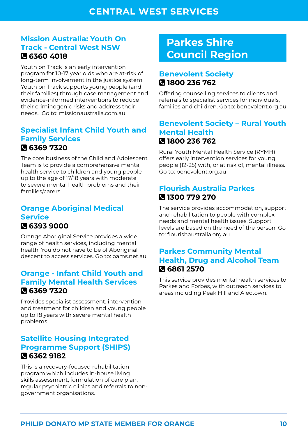#### <span id="page-9-0"></span>**Mission Australia: Youth On Track - Central West NSW 6360 4018**

Youth on Track is an early intervention program for 10-17 year olds who are at-risk of long-term involvement in the justice system. Youth on Track supports young people (and their families) through case management and evidence-informed interventions to reduce their criminogenic risks and address their needs. Go to: [missionaustralia.com.au](http://missionaustralia.com.au)

#### **Specialist Infant Child Youth and Family Services 6369 7320**

The core business of the Child and Adolescent Team is to provide a comprehensive mental health service to children and young people up to the age of 17/18 years with moderate to severe mental health problems and their families/carers.

#### **Orange Aboriginal Medical Service**  $\overline{a}$ **6393 9000**

Orange Aboriginal Service provides a wide range of health services, including mental health. You do not have to be of Aboriginal descent to access services. Go to: [oams.net.au](https://www.oams.net.au/)

#### **Orange - Infant Child Youth and Family Mental Health Services 6369 7320**

Provides specialist assessment, intervention and treatment for children and young people up to 18 years with severe mental health problems

### **Satellite Housing Integrated Programme Support (SHIPS) 6362 9182**

This is a recovery-focused rehabilitation program which includes in-house living skills assessment, formulation of care plan, regular psychiatric clinics and referrals to nongovernment organisations.

## **Parkes Shire Council Region**

## **Benevolent Society 1800 236 762**

Offering counselling services to clients and referrals to specialist services for individuals, families and children. Go to: [benevolent.org.au](http://benevolent.org.au)

#### **Benevolent Society – Rural Youth Mental Health 1800 236 762**

Rural Youth Mental Health Service (RYMH) offers early intervention services for young people (12-25) with, or at risk of, mental illness. Go to: [benevolent.org.au](http://benevolent.org.au)

#### **Flourish Australia Parkes 1300 779 270**

The service provides accommodation, support and rehabilitation to people with complex needs and mental health issues. Support levels are based on the need of the person. Go to: [flourishaustralia.org.au](http://flourishaustralia.org.au)

#### **Parkes Community Mental Health, Drug and Alcohol Team 6861 2570**

This service provides mental health services to Parkes and Forbes, with outreach services to areas including Peak Hill and Alectown.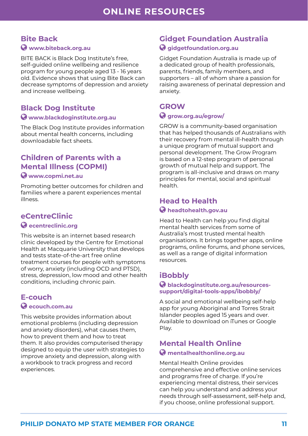### <span id="page-10-0"></span>**Bite Back**

#### **[www.biteback.org.au](http://www.biteback.org.au)**

BITE BACK is Black Dog Institute's free, self-guided online wellbeing and resilience program for young people aged 13 - 16 years old. Evidence shows that using Bite Back can decrease symptoms of depression and anxiety and increase wellbeing.

#### **Black Dog Institute**

#### **[www.blackdoginstitute.org.au](http://www.blackdoginstitute.org.au)**

The Black Dog Institute provides information about mental health concerns, including downloadable fact sheets.

#### **Children of Parents with a Mental Illness (COPMI)**

#### **[www.copmi.net.au](http://www.copmi.net.au)**

Promoting better outcomes for children and families where a parent experiences mental illness.

#### **eCentreClinic [ecentreclinic.org](http://ecentreclinic.org)**

This website is an internet based research clinic developed by the Centre for Emotional Health at Macquarie University that develops and tests state-of-the-art free online treatment courses for people with symptoms of worry, anxiety (including OCD and PTSD), stress, depression, low mood and other health conditions, including chronic pain.

## **E-couch**

#### **[ecouch.com.au](http://ecouch.com.au)**

This website provides information about emotional problems (including depression and anxiety disorders), what causes them, how to prevent them and how to treat them. It also provides computerised therapy designed to equip the user with strategies to improve anxiety and depression, along with a workbook to track progress and record experiences.

## **Gidget Foundation Australia**

#### **[gidgetfoundation.org.au](http://gidgetfoundation.org.au)**

Gidget Foundation Australia is made up of a dedicated group of health professionals, parents, friends, family members, and supporters – all of whom share a passion for raising awareness of perinatal depression and anxiety.

#### **GROW [grow.org.au/egrow/](http://grow.org.au/egrow/)**

GROW is a community-based organisation that has helped thousands of Australians with their recovery from mental ill-health through a unique program of mutual support and personal development. The Grow Program is based on a 12-step program of personal growth of mutual help and support. The program is all-inclusive and draws on many principles for mental, social and spiritual health.

#### **Head to Health [headtohealth.gov.au](http://headtohealth.gov.au)**

Head to Health can help you find digital mental health services from some of Australia's most trusted mental health organisations. It brings together apps, online programs, online forums, and phone services, as well as a range of digital information resources.

## **iBobbly**

#### **[blackdoginstitute.org.au/resources](http://blackdoginstitute.org.au/resources-support/digital-tools-apps/ibobbly/)[support/digital-tools-apps/ibobbly/](http://blackdoginstitute.org.au/resources-support/digital-tools-apps/ibobbly/)**

A social and emotional wellbeing self-help app for young Aboriginal and Torres Strait Islander peoples aged 15 years and over. Available to download on iTunes or Google Play.

#### **Mental Health Online [mentalhealthonline.org.au](http://mentalhealthonline.org.au)**

Mental Health Online provides comprehensive and effective online services and programs free of charge. If you're experiencing mental distress, their services can help you understand and address your needs through self-assessment, self-help and, if you choose, online professional support.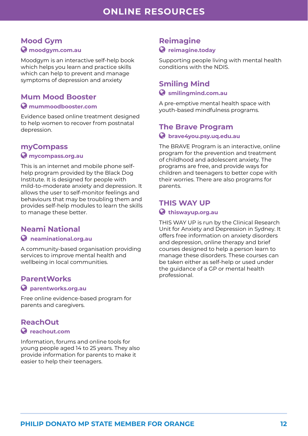#### **Mood Gym [moodgym.com.au](http://moodgym.com.au)**

Moodgym is an interactive self-help book which helps you learn and practice skills which can help to prevent and manage symptoms of depression and anxiety

#### **Mum Mood Booster**

#### **[mummoodbooster.com](https://mummoodbooster.com/public/)**

Evidence based online treatment designed to help women to recover from postnatal depression.

#### **myCompass**

#### **[mycompass.org.au](http://mycompass.org.au)**

This is an internet and mobile phone selfhelp program provided by the Black Dog Institute. It is designed for people with mild-to-moderate anxiety and depression. It allows the user to self-monitor feelings and behaviours that may be troubling them and provides self-help modules to learn the skills to manage these better.

#### **Neami National**

#### **[neaminational.org.au](http://neaminational.org.au)**

A community-based organisation providing services to improve mental health and wellbeing in local communities.

#### **ParentWorks**

#### **[parentworks.org.au](http://parentworks.org.au)**

Free online evidence-based program for parents and caregivers.

#### **ReachOut [reachout.com](http://reachout.com)**

Information, forums and online tools for young people aged 14 to 25 years. They also provide information for parents to make it easier to help their teenagers.

## **Reimagine**

#### **[reimagine.today](https://reimagine.today/)**

Supporting people living with mental health conditions with the NDIS.

#### **Smiling Mind  [smilingmind.com.au](http://smilingmind.com.au)**

A pre-emptive mental health space with youth-based mindfulness programs.

## **The Brave Program  [brave4you.psy.uq.edu.au](http://brave4you.psy.uq.edu.au)**

The BRAVE Program is an interactive, online program for the prevention and treatment of childhood and adolescent anxiety. The programs are free, and provide ways for children and teenagers to better cope with their worries. There are also programs for parents.

#### **THIS WAY UP  [thiswayup.org.au](http://thiswayup.org.au)**

THIS WAY UP is run by the Clinical Research Unit for Anxiety and Depression in Sydney. It offers free information on anxiety disorders and depression, online therapy and brief courses designed to help a person learn to manage these disorders. These courses can be taken either as self-help or used under the guidance of a GP or mental health professional.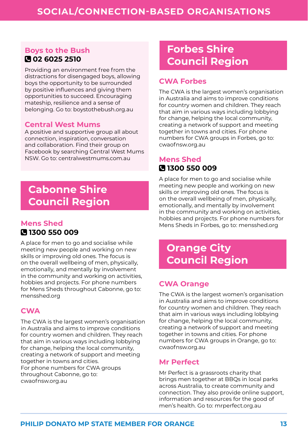#### <span id="page-12-0"></span>**Boys to the Bush 02 6025 2510**

Providing an environment free from the distractions for disengaged boys, allowing boys the opportunity to be surrounded by positive influences and giving them opportunities to succeed. Encouraging mateship, resilience and a sense of belonging. Go to: [boystothebush.org.au](http://boystothebush.org.au)

#### **Central West Mums**

A positive and supportive group all about connection, inspiration, conversation and collaboration. Find their group on Facebook by searching Central West Mums NSW. Go to: [centralwestmums.com.au](http://centralwestmums.com.au)

## **Cabonne Shire Council Region**

#### **Mens Shed 1300 550 009**

A place for men to go and socialise while meeting new people and working on new skills or improving old ones. The focus is on the overall wellbeing of men, physically, emotionally, and mentally by involvement in the community and working on activities, hobbies and projects. For phone numbers for Mens Sheds throughout Cabonne, go to: [mensshed.org](http://mensshed.org)

#### **CWA**

The CWA is the largest women's organisation in Australia and aims to improve conditions for country women and children. They reach that aim in various ways including lobbying for change, helping the local community. creating a network of support and meeting together in towns and cities. For phone numbers for CWA groups throughout Cabonne, go to: [cwaofnsw.org.au](http://cwaofnsw.org.au)

## **Forbes Shire Council Region**

#### **CWA Forbes**

The CWA is the largest women's organisation in Australia and aims to improve conditions for country women and children. They reach that aim in various ways including lobbying for change, helping the local community, creating a network of support and meeting together in towns and cities. For phone numbers for CWA groups in Forbes, go to: [cwaofnsw.org.au](http://cwaofnsw.org.au)

### **Mens Shed 1300 550 009**

A place for men to go and socialise while meeting new people and working on new skills or improving old ones. The focus is on the overall wellbeing of men, physically, emotionally, and mentally by involvement in the community and working on activities, hobbies and projects. For phone numbers for Mens Sheds in Forbes, go to: [mensshed.org](http://mensshed.org)

## **Orange City Council Region**

#### **CWA Orange**

The CWA is the largest women's organisation in Australia and aims to improve conditions for country women and children. They reach that aim in various ways including lobbying for change, helping the local community, creating a network of support and meeting together in towns and cities. For phone numbers for CWA groups in Orange, go to: [cwaofnsw.org.au](http://cwaofnsw.org.au)

#### **Mr Perfect**

Mr Perfect is a grassroots charity that brings men together at BBQs in local parks across Australia, to create community and connection. They also provide online support, information and resources for the good of men's health. Go to: [mrperfect.org.au](http://mrperfect.org.au)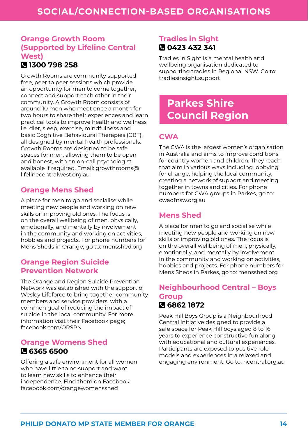## <span id="page-13-0"></span>**Orange Growth Room (Supported by Lifeline Central West)**

## **1300 798 258**

Growth Rooms are community supported free, peer to peer sessions which provide an opportunity for men to come together, connect and support each other in their community. A Growth Room consists of around 10 men who meet once a month for two hours to share their experiences and learn practical tools to improve health and wellness i.e. diet, sleep, exercise, mindfulness and basic Cognitive Behavioural Therapies (CBT), all designed by mental health professionals. Growth Rooms are designed to be safe spaces for men, allowing them to be open and honest, with an on-call psychologist available if required. Email: [growthrooms@](mailto:growthrooms@lifelinecentralwest.org.au) [lifelinecentralwest.org.au](mailto:growthrooms@lifelinecentralwest.org.au)

#### **Orange Mens Shed**

A place for men to go and socialise while meeting new people and working on new skills or improving old ones. The focus is on the overall wellbeing of men, physically, emotionally, and mentally by involvement in the community and working on activities, hobbies and projects. For phone numbers for Mens Sheds in Orange, go to: [mensshed.org](http://mensshed.org)

#### **Orange Region Suicide Prevention Network**

The Orange and Region Suicide Prevention Network was established with the support of Wesley Lifeforce to bring together community members and service providers, with a common goal of reducing the impact of suicide in the local community. For more information visit their Facebook page; [facebook.com/ORSPN](http://facebook.com/ORSPN)

#### **Orange Womens Shed 6365 6500**

Offering a safe environment for all women who have little to no support and want to learn new skills to enhance their independence. Find them on Facebook: [facebook.com/orangewomensshed](https://www.facebook.com/Orangewomensshed/)

### **Tradies in Sight 0423 432 341**

Tradies in Sight is a mental health and wellbeing organisation dedicated to supporting tradies in Regional NSW. Go to: [tradiesinsight.support](https://tradiesinsight.support/)

## **Parkes Shire Council Region**

#### **CWA**

The CWA is the largest women's organisation in Australia and aims to improve conditions for country women and children. They reach that aim in various ways including lobbying for change, helping the local community, creating a network of support and meeting together in towns and cities. For phone numbers for CWA groups in Parkes, go to: [cwaofnsw.org.au](http://cwaofnsw.org.au)

## **Mens Shed**

A place for men to go and socialise while meeting new people and working on new skills or improving old ones. The focus is on the overall wellbeing of men, physically, emotionally, and mentally by involvement in the community and working on activities, hobbies and projects. For phone numbers for Mens Sheds in Parkes, go to: [mensshed.org](http://mensshed.org)

#### **Neighbourhood Central – Boys Group 6862 1872**

Peak Hill Boys Group is a Neighbourhood Central initiative designed to provide a safe space for Peak Hill boys aged 8 to 16 years to experience constructive fun along with educational and cultural experiences. Participants are exposed to positive role models and experiences in a relaxed and engaging environment. Go to: [ncentral.org.au](http://ncentral.org.au)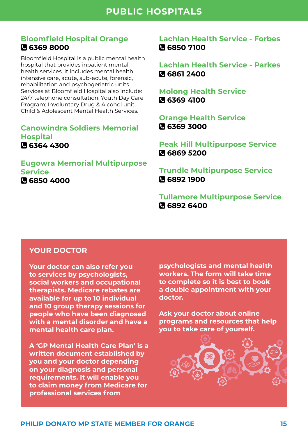#### <span id="page-14-0"></span>**Bloomfield Hospital Orange 6369 8000**

Bloomfield Hospital is a public mental health hospital that provides inpatient mental health services. It includes mental health intensive care, acute, sub-acute, forensic, rehabilitation and psychogeriatric units. Services at Bloomfield Hospital also include: 24/7 telephone consultation; Youth Day Care Program; Involuntary Drug & Alcohol unit; Child & Adolescent Mental Health Services.

**Canowindra Soldiers Memorial Hospital 6364 4300** 

#### **Eugowra Memorial Multipurpose Service 6850 4000**

**Lachlan Health Service - Forbes 6850 7100**

**Lachlan Health Service - Parkes 6861 2400**

**Molong Health Service 6369 4100**

**Orange Health Service 6369 3000**

**Peak Hill Multipurpose Service 6869 5200**

**Trundle Multipurpose Service 6892 1900**

**Tullamore Multipurpose Service 6892 6400**

#### **YOUR DOCTOR**

**Your doctor can also refer you to services by psychologists, social workers and occupational therapists. Medicare rebates are available for up to 10 individual and 10 group therapy sessions for people who have been diagnosed with a mental disorder and have a mental health care plan.**

**A 'GP Mental Health Care Plan' is a written document established by you and your doctor depending on your diagnosis and personal requirements. It will enable you to claim money from Medicare for professional services from** 

**psychologists and mental health workers. The form will take time to complete so it is best to book a double appointment with your doctor.**

**Ask your doctor about online programs and resources that help you to take care of yourself.**